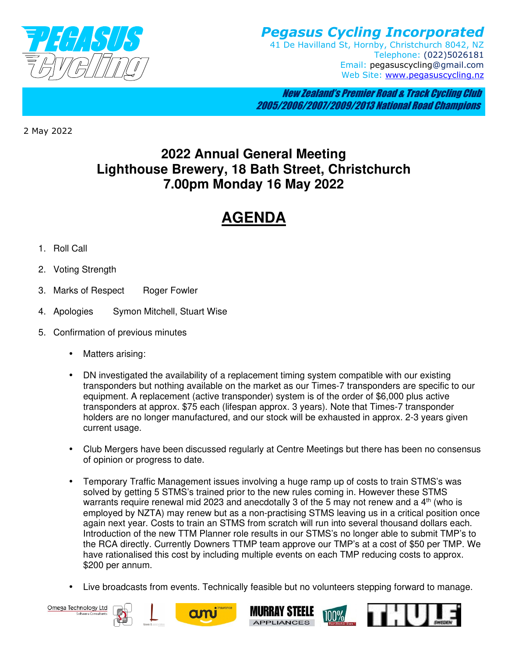

*Pegasus Cycling Incorporated*  41 De Havilland St, Hornby, Christchurch 8042, NZ Telephone: (022)5026181 Email: pegasuscycling@gmail.com Web Site: www.pegasuscycling.nz

 New Zealand's Premier Road & Track Cycling Club 2005/2006/2007/2009/2013 National Road Champions

2 May 2022

## **2022 Annual General Meeting Lighthouse Brewery, 18 Bath Street, Christchurch 7.00pm Monday 16 May 2022**

## **AGENDA**

- 1. Roll Call
- 2. Voting Strength
- 3. Marks of Respect Roger Fowler
- 4. Apologies Symon Mitchell, Stuart Wise
- 5. Confirmation of previous minutes
	- Matters arising:
	- DN investigated the availability of a replacement timing system compatible with our existing transponders but nothing available on the market as our Times-7 transponders are specific to our equipment. A replacement (active transponder) system is of the order of \$6,000 plus active transponders at approx. \$75 each (lifespan approx. 3 years). Note that Times-7 transponder holders are no longer manufactured, and our stock will be exhausted in approx. 2-3 years given current usage.
	- Club Mergers have been discussed regularly at Centre Meetings but there has been no consensus of opinion or progress to date.
	- Temporary Traffic Management issues involving a huge ramp up of costs to train STMS's was solved by getting 5 STMS's trained prior to the new rules coming in. However these STMS warrants require renewal mid 2023 and anecdotally 3 of the 5 may not renew and a  $4<sup>th</sup>$  (who is employed by NZTA) may renew but as a non-practising STMS leaving us in a critical position once again next year. Costs to train an STMS from scratch will run into several thousand dollars each. Introduction of the new TTM Planner role results in our STMS's no longer able to submit TMP's to the RCA directly. Currently Downers TTMP team approve our TMP's at a cost of \$50 per TMP. We have rationalised this cost by including multiple events on each TMP reducing costs to approx. \$200 per annum.
	- Live broadcasts from events. Technically feasible but no volunteers stepping forward to manage.

Omega Technology Ltd